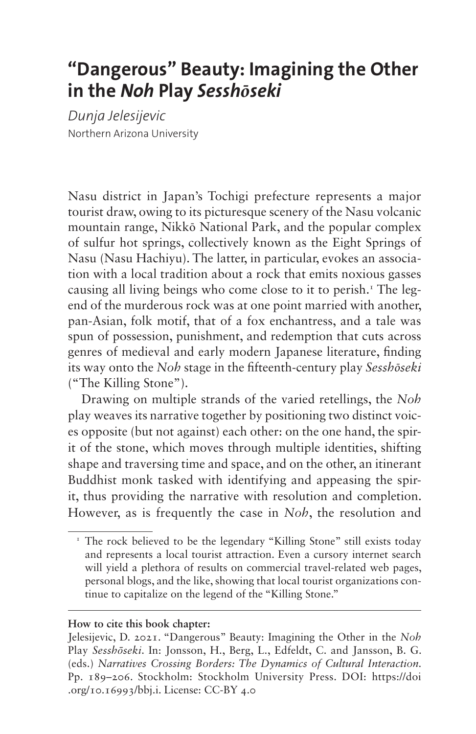# **"Dangerous" Beauty: Imagining the Other in the** *Noh* **Play** *Sesshōseki*

*Dunja Jelesijevic* Northern Arizona University

Nasu district in Japan's Tochigi prefecture represents a major tourist draw, owing to its picturesque scenery of the Nasu volcanic mountain range, Nikkō National Park, and the popular complex of sulfur hot springs, collectively known as the Eight Springs of Nasu (Nasu Hachiyu). The latter, in particular, evokes an association with a local tradition about a rock that emits noxious gasses causing all living beings who come close to it to perish.<sup>1</sup> The legend of the murderous rock was at one point married with another, pan-Asian, folk motif, that of a fox enchantress, and a tale was spun of possession, punishment, and redemption that cuts across genres of medieval and early modern Japanese literature, finding its way onto the *Noh* stage in the fifteenth-century play *Sesshōseki* ("The Killing Stone").

Drawing on multiple strands of the varied retellings, the *Noh* play weaves its narrative together by positioning two distinct voices opposite (but not against) each other: on the one hand, the spirit of the stone, which moves through multiple identities, shifting shape and traversing time and space, and on the other, an itinerant Buddhist monk tasked with identifying and appeasing the spirit, thus providing the narrative with resolution and completion. However, as is frequently the case in *Noh*, the resolution and

#### **How to cite this book chapter:**

<span id="page-0-0"></span><sup>&</sup>lt;sup>1</sup> The rock believed to be the legendary "Killing Stone" still exists today and represents a local tourist attraction. Even a cursory internet search will yield a plethora of results on commercial travel-related web pages, personal blogs, and the like, showing that local tourist organizations continue to capitalize on the legend of the "Killing Stone."

Jelesijevic, D. 2021. "Dangerous" Beauty: Imagining the Other in the *Noh* Play *Sesshōseki*. In: Jonsson, H., Berg, L., Edfeldt, C. and Jansson, B. G. (eds.) *Narratives Crossing Borders: The Dynamics of Cultural Interaction.*  Pp. 189–206. Stockholm: Stockholm University Press. DOI: [https://doi](https://doi.org/10.16993/bbj.i) [.org/10.16993/bbj.i](https://doi.org/10.16993/bbj.i). License: CC-BY 4.0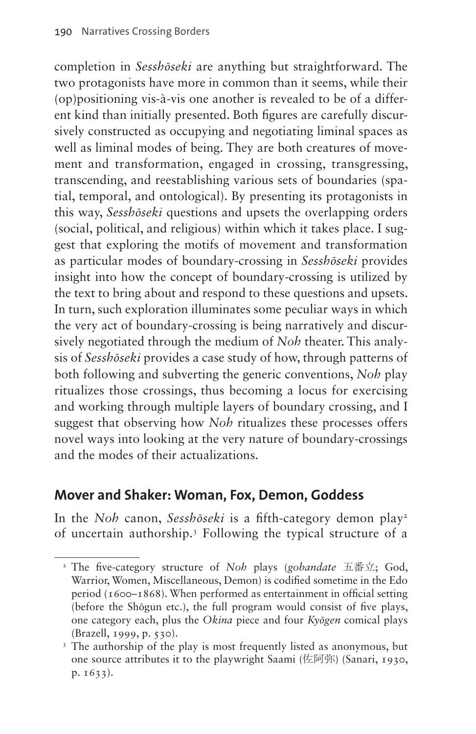completion in *Sesshōseki* are anything but straightforward. The two protagonists have more in common than it seems, while their (op)positioning vis-à-vis one another is revealed to be of a different kind than initially presented. Both figures are carefully discursively constructed as occupying and negotiating liminal spaces as well as liminal modes of being. They are both creatures of movement and transformation, engaged in crossing, transgressing, transcending, and reestablishing various sets of boundaries (spatial, temporal, and ontological). By presenting its protagonists in this way, *Sesshōseki* questions and upsets the overlapping orders (social, political, and religious) within which it takes place. I suggest that exploring the motifs of movement and transformation as particular modes of boundary-crossing in *Sesshōseki* provides insight into how the concept of boundary-crossing is utilized by the text to bring about and respond to these questions and upsets. In turn, such exploration illuminates some peculiar ways in which the very act of boundary-crossing is being narratively and discursively negotiated through the medium of *Noh* theater. This analysis of *Sesshōseki* provides a case study of how, through patterns of both following and subverting the generic conventions, *Noh* play ritualizes those crossings, thus becoming a locus for exercising and working through multiple layers of boundary crossing, and I suggest that observing how *Noh* ritualizes these processes offers novel ways into looking at the very nature of boundary-crossings and the modes of their actualizations.

## **Mover and Shaker: Woman, Fox, Demon, Goddess**

In the *Noh* canon, *Sesshōseki* is a fifth-category demon play<sup>[2](#page-1-0)</sup> of uncertain authorship.[3](#page-1-1) Following the typical structure of a

<span id="page-1-0"></span><sup>2</sup> The five-category structure of *Noh* plays (*gobandate* 五番立; God, Warrior, Women, Miscellaneous, Demon) is codified sometime in the Edo period (1600–1868). When performed as entertainment in official setting (before the Shōgun etc.), the full program would consist of five plays, one category each, plus the *Okina* piece and four *Kyōgen* comical plays (Brazell, 1999, p. 530).

<span id="page-1-1"></span><sup>&</sup>lt;sup>3</sup> The authorship of the play is most frequently listed as anonymous, but one source attributes it to the playwright Saami (佐阿弥) (Sanari, 1930, p. 1633).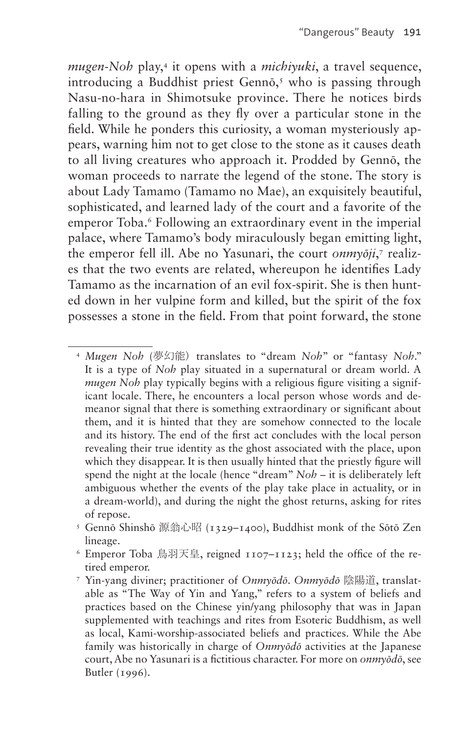*mugen-Noh* play[,4](#page-2-0) it opens with a *michiyuki*, a travel sequence, introducing a Buddhist priest Gennō, [5](#page-2-1) who is passing through Nasu-no-hara in Shimotsuke province. There he notices birds falling to the ground as they fly over a particular stone in the field. While he ponders this curiosity, a woman mysteriously appears, warning him not to get close to the stone as it causes death to all living creatures who approach it. Prodded by Gennō, the woman proceeds to narrate the legend of the stone. The story is about Lady Tamamo (Tamamo no Mae), an exquisitely beautiful, sophisticated, and learned lady of the court and a favorite of the emperor Toba.<sup>6</sup> Following an extraordinary event in the imperial palace, where Tamamo's body miraculously began emitting light, the emperor fell ill. Abe no Yasunari, the court *onmyōji*,<sup>[7](#page-2-3)</sup> realizes that the two events are related, whereupon he identifies Lady Tamamo as the incarnation of an evil fox-spirit. She is then hunted down in her vulpine form and killed, but the spirit of the fox possesses a stone in the field. From that point forward, the stone

<span id="page-2-0"></span><sup>4</sup> *Mugen Noh* (夢幻能) translates to "dream *Noh*" or "fantasy *Noh*." It is a type of *Noh* play situated in a supernatural or dream world. A *mugen* Noh play typically begins with a religious figure visiting a significant locale. There, he encounters a local person whose words and demeanor signal that there is something extraordinary or significant about them, and it is hinted that they are somehow connected to the locale and its history. The end of the first act concludes with the local person revealing their true identity as the ghost associated with the place, upon which they disappear. It is then usually hinted that the priestly figure will spend the night at the locale (hence "dream" *Noh* – it is deliberately left ambiguous whether the events of the play take place in actuality, or in a dream-world), and during the night the ghost returns, asking for rites of repose.

<span id="page-2-1"></span><sup>5</sup> Gennō Shinshō 源翁心昭 (1329–1400), Buddhist monk of the Sōtō Zen lineage.

<span id="page-2-2"></span> $\delta$  Emperor Toba 鳥羽天皇, reigned 1107–1123; held the office of the retired emperor.

<span id="page-2-3"></span><sup>7</sup> Yin-yang diviner; practitioner of *Onmyōdō*. *Onmyōdō* 陰陽道, translatable as "The Way of Yin and Yang," refers to a system of beliefs and practices based on the Chinese yin/yang philosophy that was in Japan supplemented with teachings and rites from Esoteric Buddhism, as well as local, Kami-worship-associated beliefs and practices. While the Abe family was historically in charge of *Onmyōdō* activities at the Japanese court, Abe no Yasunari is a fictitious character. For more on *onmyōdō*, see Butler (1996).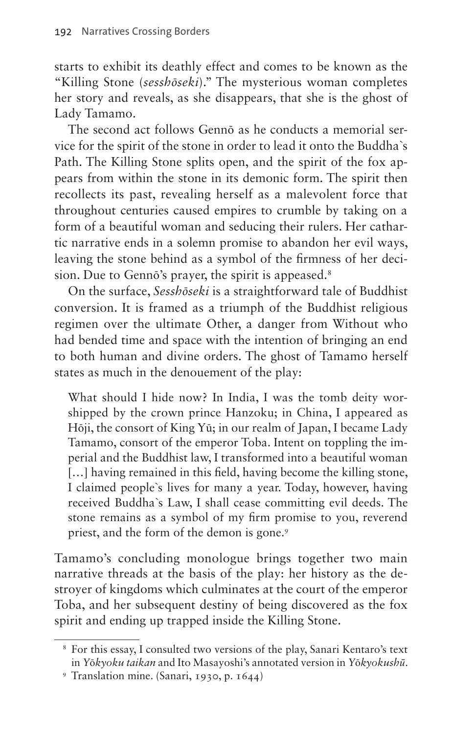starts to exhibit its deathly effect and comes to be known as the "Killing Stone (*sesshōseki*)." The mysterious woman completes her story and reveals, as she disappears, that she is the ghost of Lady Tamamo.

The second act follows Gennō as he conducts a memorial service for the spirit of the stone in order to lead it onto the Buddha`s Path. The Killing Stone splits open, and the spirit of the fox appears from within the stone in its demonic form. The spirit then recollects its past, revealing herself as a malevolent force that throughout centuries caused empires to crumble by taking on a form of a beautiful woman and seducing their rulers. Her cathartic narrative ends in a solemn promise to abandon her evil ways, leaving the stone behind as a symbol of the firmness of her decision. Due to Gennō's prayer, the spirit is appeased.<sup>8</sup>

On the surface, *Sesshōseki* is a straightforward tale of Buddhist conversion. It is framed as a triumph of the Buddhist religious regimen over the ultimate Other, a danger from Without who had bended time and space with the intention of bringing an end to both human and divine orders. The ghost of Tamamo herself states as much in the denouement of the play:

What should I hide now? In India, I was the tomb deity worshipped by the crown prince Hanzoku; in China, I appeared as Hōji, the consort of King Yū; in our realm of Japan, I became Lady Tamamo, consort of the emperor Toba. Intent on toppling the imperial and the Buddhist law, I transformed into a beautiful woman [...] having remained in this field, having become the killing stone, I claimed people`s lives for many a year. Today, however, having received Buddha`s Law, I shall cease committing evil deeds. The stone remains as a symbol of my firm promise to you, reverend priest, and the form of the demon is gone.<sup>9</sup>

Tamamo's concluding monologue brings together two main narrative threads at the basis of the play: her history as the destroyer of kingdoms which culminates at the court of the emperor Toba, and her subsequent destiny of being discovered as the fox spirit and ending up trapped inside the Killing Stone.

<span id="page-3-0"></span><sup>8</sup> For this essay, I consulted two versions of the play, Sanari Kentaro's text in *Y*ō*kyoku taikan* and Ito Masayoshi's annotated version in *Y*ō*kyokushū*.

<span id="page-3-1"></span><sup>9</sup> Translation mine. (Sanari, 1930, p. 1644)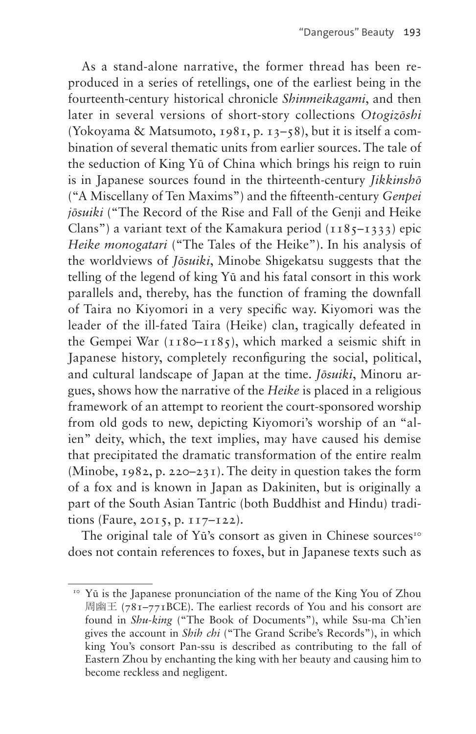As a stand-alone narrative, the former thread has been reproduced in a series of retellings, one of the earliest being in the fourteenth-century historical chronicle *Shinmeikagami*, and then later in several versions of short-story collections *Otogizōshi*  (Yokoyama & Matsumoto, 1981, p. 13–58), but it is itself a combination of several thematic units from earlier sources. The tale of the seduction of King Yū of China which brings his reign to ruin is in Japanese sources found in the thirteenth-century *Jikkinshō* ("A Miscellany of Ten Maxims") and the fifteenth-century *Genpei jōsuiki* ("The Record of the Rise and Fall of the Genji and Heike Clans") a variant text of the Kamakura period  $(1185 - 1333)$  epic *Heike monogatari* ("The Tales of the Heike"). In his analysis of the worldviews of *Jōsuiki*, Minobe Shigekatsu suggests that the telling of the legend of king Yū and his fatal consort in this work parallels and, thereby, has the function of framing the downfall of Taira no Kiyomori in a very specific way. Kiyomori was the leader of the ill-fated Taira (Heike) clan, tragically defeated in the Gempei War  $(1180 - 1185)$ , which marked a seismic shift in Japanese history, completely reconfiguring the social, political, and cultural landscape of Japan at the time. *Jōsuiki*, Minoru argues, shows how the narrative of the *Heike* is placed in a religious framework of an attempt to reorient the court-sponsored worship from old gods to new, depicting Kiyomori's worship of an "alien" deity, which, the text implies, may have caused his demise that precipitated the dramatic transformation of the entire realm (Minobe, 1982, p. 220–231). The deity in question takes the form of a fox and is known in Japan as Dakiniten, but is originally a part of the South Asian Tantric (both Buddhist and Hindu) traditions (Faure, 2015, p. 117–122).

The original tale of Yū's consort as given in Chinese sources<sup>[10](#page-4-0)</sup> does not contain references to foxes, but in Japanese texts such as

<span id="page-4-0"></span><sup>&</sup>lt;sup>10</sup> Yū is the Japanese pronunciation of the name of the King You of Zhou 周幽王 (781–771BCE). The earliest records of You and his consort are found in *Shu-king* ("The Book of Documents"), while Ssu-ma Ch'ien gives the account in *Shih chi* ("The Grand Scribe's Records"), in which king You's consort Pan-ssu is described as contributing to the fall of Eastern Zhou by enchanting the king with her beauty and causing him to become reckless and negligent.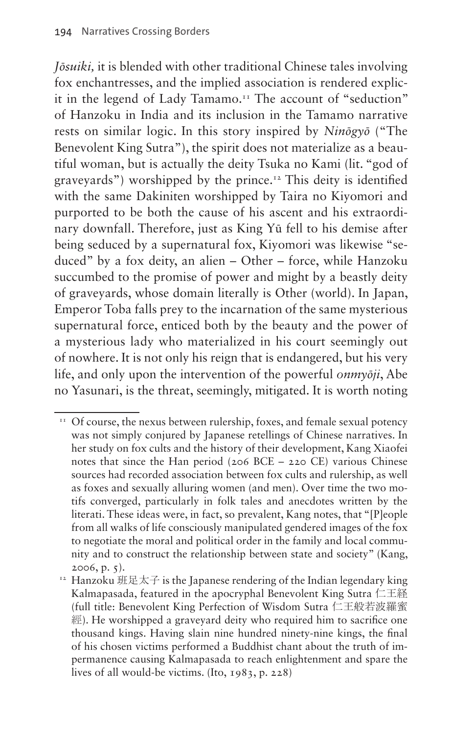*Jōsuiki,* it is blended with other traditional Chinese tales involving fox enchantresses, and the implied association is rendered explicit in the legend of Lady Tamamo.<sup>11</sup> The account of "seduction" of Hanzoku in India and its inclusion in the Tamamo narrative rests on similar logic. In this story inspired by *Ninōgyō* ("The Benevolent King Sutra"), the spirit does not materialize as a beautiful woman, but is actually the deity Tsuka no Kami (lit. "god of graveyards") worshipped by the prince.[12](#page-5-1) This deity is identified with the same Dakiniten worshipped by Taira no Kiyomori and purported to be both the cause of his ascent and his extraordinary downfall. Therefore, just as King Yū fell to his demise after being seduced by a supernatural fox, Kiyomori was likewise "seduced" by a fox deity, an alien – Other – force, while Hanzoku succumbed to the promise of power and might by a beastly deity of graveyards, whose domain literally is Other (world). In Japan, Emperor Toba falls prey to the incarnation of the same mysterious supernatural force, enticed both by the beauty and the power of a mysterious lady who materialized in his court seemingly out of nowhere. It is not only his reign that is endangered, but his very life, and only upon the intervention of the powerful *onmyōji*, Abe no Yasunari, is the threat, seemingly, mitigated. It is worth noting

<span id="page-5-0"></span><sup>&</sup>lt;sup>11</sup> Of course, the nexus between rulership, foxes, and female sexual potency was not simply conjured by Japanese retellings of Chinese narratives. In her study on fox cults and the history of their development, Kang Xiaofei notes that since the Han period (206 BCE – 220 CE) various Chinese sources had recorded association between fox cults and rulership, as well as foxes and sexually alluring women (and men). Over time the two motifs converged, particularly in folk tales and anecdotes written by the literati. These ideas were, in fact, so prevalent, Kang notes, that "[P]eople from all walks of life consciously manipulated gendered images of the fox to negotiate the moral and political order in the family and local community and to construct the relationship between state and society" (Kang, 2006, p. 5).<br><sup>12</sup> Hanzoku 班足太子 is the Japanese rendering of the Indian legendary king

<span id="page-5-1"></span>Kalmapasada, featured in the apocryphal Benevolent King Sutra 仁王経 (full title: Benevolent King Perfection of Wisdom Sutra 仁王般若波羅蜜 經). He worshipped a graveyard deity who required him to sacrifice one thousand kings. Having slain nine hundred ninety-nine kings, the final of his chosen victims performed a Buddhist chant about the truth of impermanence causing Kalmapasada to reach enlightenment and spare the lives of all would-be victims. (Ito, 1983, p. 228)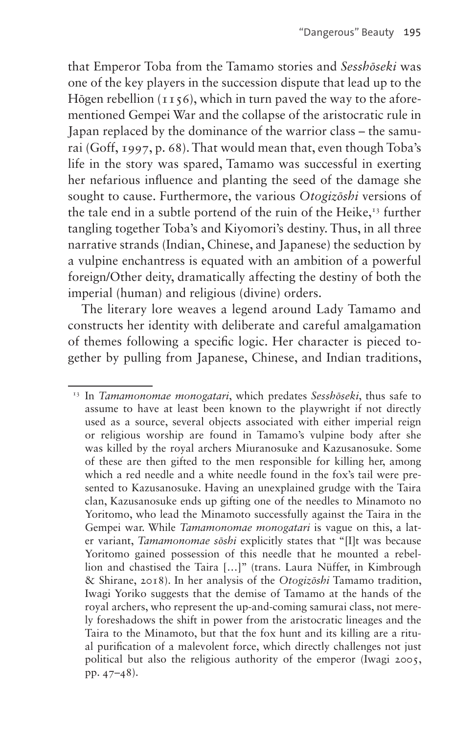that Emperor Toba from the Tamamo stories and *Sesshōseki* was one of the key players in the succession dispute that lead up to the Hōgen rebellion  $(1156)$ , which in turn paved the way to the aforementioned Gempei War and the collapse of the aristocratic rule in Japan replaced by the dominance of the warrior class – the samurai (Goff, 1997, p. 68). That would mean that, even though Toba's life in the story was spared, Tamamo was successful in exerting her nefarious influence and planting the seed of the damage she sought to cause. Furthermore, the various *Otogizōshi* versions of the tale end in a subtle portend of the ruin of the Heike,<sup>13</sup> further tangling together Toba's and Kiyomori's destiny. Thus, in all three narrative strands (Indian, Chinese, and Japanese) the seduction by a vulpine enchantress is equated with an ambition of a powerful foreign/Other deity, dramatically affecting the destiny of both the imperial (human) and religious (divine) orders.

The literary lore weaves a legend around Lady Tamamo and constructs her identity with deliberate and careful amalgamation of themes following a specific logic. Her character is pieced together by pulling from Japanese, Chinese, and Indian traditions,

<span id="page-6-0"></span><sup>13</sup> In *Tamamonomae monogatari*, which predates *Sesshōseki*, thus safe to assume to have at least been known to the playwright if not directly used as a source, several objects associated with either imperial reign or religious worship are found in Tamamo's vulpine body after she was killed by the royal archers Miuranosuke and Kazusanosuke. Some of these are then gifted to the men responsible for killing her, among which a red needle and a white needle found in the fox's tail were presented to Kazusanosuke. Having an unexplained grudge with the Taira clan, Kazusanosuke ends up gifting one of the needles to Minamoto no Yoritomo, who lead the Minamoto successfully against the Taira in the Gempei war. While *Tamamonomae monogatari* is vague on this, a later variant, *Tamamonomae sōshi* explicitly states that "[I]t was because Yoritomo gained possession of this needle that he mounted a rebellion and chastised the Taira […]" (trans. Laura Nüffer, in Kimbrough & Shirane, 2018). In her analysis of the *Otogizōshi* Tamamo tradition, Iwagi Yoriko suggests that the demise of Tamamo at the hands of the royal archers, who represent the up-and-coming samurai class, not merely foreshadows the shift in power from the aristocratic lineages and the Taira to the Minamoto, but that the fox hunt and its killing are a ritual purification of a malevolent force, which directly challenges not just political but also the religious authority of the emperor (Iwagi 2005, pp. 47–48).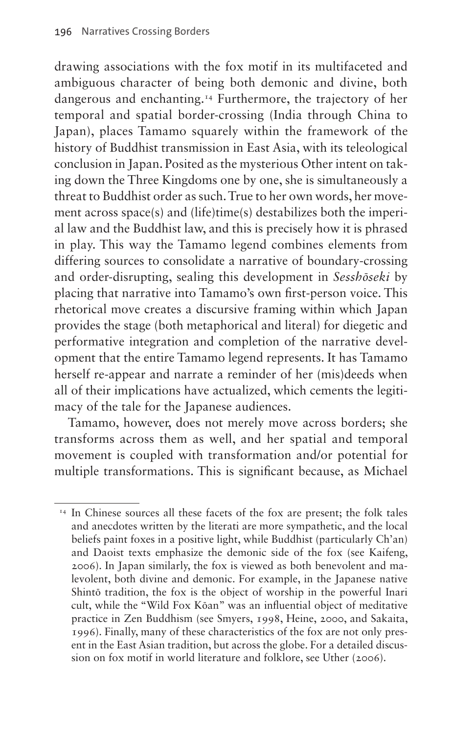drawing associations with the fox motif in its multifaceted and ambiguous character of being both demonic and divine, both dangerous and enchanting.[14](#page-7-0) Furthermore, the trajectory of her temporal and spatial border-crossing (India through China to Japan), places Tamamo squarely within the framework of the history of Buddhist transmission in East Asia, with its teleological conclusion in Japan. Posited as the mysterious Other intent on taking down the Three Kingdoms one by one, she is simultaneously a threat to Buddhist order as such. True to her own words, her movement across space(s) and (life)time(s) destabilizes both the imperial law and the Buddhist law, and this is precisely how it is phrased in play. This way the Tamamo legend combines elements from differing sources to consolidate a narrative of boundary-crossing and order-disrupting, sealing this development in *Sesshōseki* by placing that narrative into Tamamo's own first-person voice. This rhetorical move creates a discursive framing within which Japan provides the stage (both metaphorical and literal) for diegetic and performative integration and completion of the narrative development that the entire Tamamo legend represents. It has Tamamo herself re-appear and narrate a reminder of her (mis)deeds when all of their implications have actualized, which cements the legitimacy of the tale for the Japanese audiences.

Tamamo, however, does not merely move across borders; she transforms across them as well, and her spatial and temporal movement is coupled with transformation and/or potential for multiple transformations. This is significant because, as Michael

<span id="page-7-0"></span><sup>&</sup>lt;sup>14</sup> In Chinese sources all these facets of the fox are present; the folk tales and anecdotes written by the literati are more sympathetic, and the local beliefs paint foxes in a positive light, while Buddhist (particularly Ch'an) and Daoist texts emphasize the demonic side of the fox (see Kaifeng, 2006). In Japan similarly, the fox is viewed as both benevolent and malevolent, both divine and demonic. For example, in the Japanese native Shintō tradition, the fox is the object of worship in the powerful Inari cult, while the "Wild Fox Kōan" was an influential object of meditative practice in Zen Buddhism (see Smyers, 1998, Heine, 2000, and Sakaita, 1996). Finally, many of these characteristics of the fox are not only present in the East Asian tradition, but across the globe. For a detailed discussion on fox motif in world literature and folklore, see Uther (2006).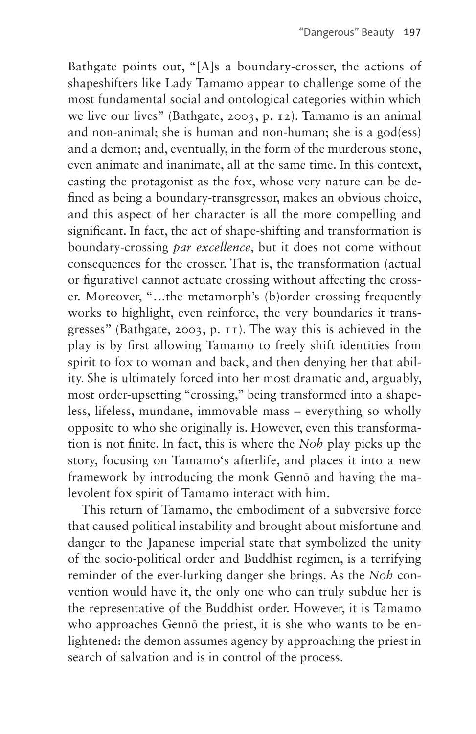Bathgate points out, "[A]s a boundary-crosser, the actions of shapeshifters like Lady Tamamo appear to challenge some of the most fundamental social and ontological categories within which we live our lives" (Bathgate, 2003, p. 12). Tamamo is an animal and non-animal; she is human and non-human; she is a god(ess) and a demon; and, eventually, in the form of the murderous stone, even animate and inanimate, all at the same time. In this context, casting the protagonist as the fox, whose very nature can be defined as being a boundary-transgressor, makes an obvious choice, and this aspect of her character is all the more compelling and significant. In fact, the act of shape-shifting and transformation is boundary-crossing *par excellence*, but it does not come without consequences for the crosser. That is, the transformation (actual or figurative) cannot actuate crossing without affecting the crosser. Moreover, "…the metamorph's (b)order crossing frequently works to highlight, even reinforce, the very boundaries it transgresses" (Bathgate, 2003, p. 11). The way this is achieved in the play is by first allowing Tamamo to freely shift identities from spirit to fox to woman and back, and then denying her that ability. She is ultimately forced into her most dramatic and, arguably, most order-upsetting "crossing," being transformed into a shapeless, lifeless, mundane, immovable mass – everything so wholly opposite to who she originally is. However, even this transformation is not finite. In fact, this is where the *Noh* play picks up the story, focusing on Tamamo's afterlife, and places it into a new framework by introducing the monk Gennō and having the malevolent fox spirit of Tamamo interact with him.

This return of Tamamo, the embodiment of a subversive force that caused political instability and brought about misfortune and danger to the Japanese imperial state that symbolized the unity of the socio-political order and Buddhist regimen, is a terrifying reminder of the ever-lurking danger she brings. As the *Noh* convention would have it, the only one who can truly subdue her is the representative of the Buddhist order. However, it is Tamamo who approaches Gennō the priest, it is she who wants to be enlightened: the demon assumes agency by approaching the priest in search of salvation and is in control of the process.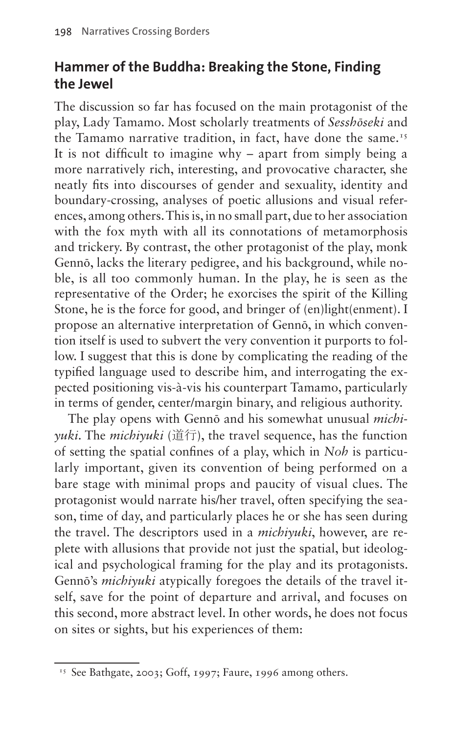### **Hammer of the Buddha: Breaking the Stone, Finding the Jewel**

The discussion so far has focused on the main protagonist of the play, Lady Tamamo. Most scholarly treatments of *Sesshōseki* and the Tamamo narrative tradition, in fact, have done the same.<sup>[15](#page-9-0)</sup> It is not difficult to imagine why – apart from simply being a more narratively rich, interesting, and provocative character, she neatly fits into discourses of gender and sexuality, identity and boundary-crossing, analyses of poetic allusions and visual references, among others. This is, in no small part, due to her association with the fox myth with all its connotations of metamorphosis and trickery. By contrast, the other protagonist of the play, monk Gennō, lacks the literary pedigree, and his background, while noble, is all too commonly human. In the play, he is seen as the representative of the Order; he exorcises the spirit of the Killing Stone, he is the force for good, and bringer of (en)light(enment). I propose an alternative interpretation of Gennō, in which convention itself is used to subvert the very convention it purports to follow. I suggest that this is done by complicating the reading of the typified language used to describe him, and interrogating the expected positioning vis-à-vis his counterpart Tamamo, particularly in terms of gender, center/margin binary, and religious authority.

The play opens with Gennō and his somewhat unusual *michiyuki*. The *michiyuki* (道行), the travel sequence, has the function of setting the spatial confines of a play, which in *Noh* is particularly important, given its convention of being performed on a bare stage with minimal props and paucity of visual clues. The protagonist would narrate his/her travel, often specifying the season, time of day, and particularly places he or she has seen during the travel. The descriptors used in a *michiyuki*, however, are replete with allusions that provide not just the spatial, but ideological and psychological framing for the play and its protagonists. Gennō's *michiyuki* atypically foregoes the details of the travel itself, save for the point of departure and arrival, and focuses on this second, more abstract level. In other words, he does not focus on sites or sights, but his experiences of them:

<span id="page-9-0"></span><sup>&</sup>lt;sup>15</sup> See Bathgate, 2003; Goff, 1997; Faure, 1996 among others.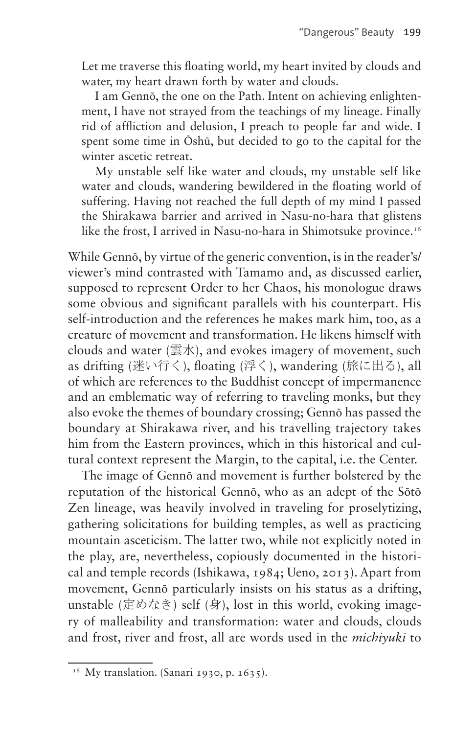Let me traverse this floating world, my heart invited by clouds and water, my heart drawn forth by water and clouds.

I am Gennō, the one on the Path. Intent on achieving enlightenment, I have not strayed from the teachings of my lineage. Finally rid of affliction and delusion, I preach to people far and wide. I spent some time in Ōshū, but decided to go to the capital for the winter ascetic retreat.

My unstable self like water and clouds, my unstable self like water and clouds, wandering bewildered in the floating world of suffering. Having not reached the full depth of my mind I passed the Shirakawa barrier and arrived in Nasu-no-hara that glistens like the frost, I arrived in Nasu-no-hara in Shimotsuke province.<sup>[16](#page-10-0)</sup>

While Gennō, by virtue of the generic convention, is in the reader's/ viewer's mind contrasted with Tamamo and, as discussed earlier, supposed to represent Order to her Chaos, his monologue draws some obvious and significant parallels with his counterpart. His self-introduction and the references he makes mark him, too, as a creature of movement and transformation. He likens himself with clouds and water (雲水), and evokes imagery of movement, such as drifting (迷い行く), floating (浮く), wandering (旅に出る), all of which are references to the Buddhist concept of impermanence and an emblematic way of referring to traveling monks, but they also evoke the themes of boundary crossing; Gennō has passed the boundary at Shirakawa river, and his travelling trajectory takes him from the Eastern provinces, which in this historical and cultural context represent the Margin, to the capital, i.e. the Center.

The image of Gennō and movement is further bolstered by the reputation of the historical Gennō, who as an adept of the Sōtō Zen lineage, was heavily involved in traveling for proselytizing, gathering solicitations for building temples, as well as practicing mountain asceticism. The latter two, while not explicitly noted in the play, are, nevertheless, copiously documented in the historical and temple records (Ishikawa, 1984; Ueno, 2013). Apart from movement, Gennō particularly insists on his status as a drifting, unstable (定めなき) self (身), lost in this world, evoking imagery of malleability and transformation: water and clouds, clouds and frost, river and frost, all are words used in the *michiyuki* to

<span id="page-10-0"></span><sup>&</sup>lt;sup>16</sup> My translation. (Sanari 1930, p. 1635).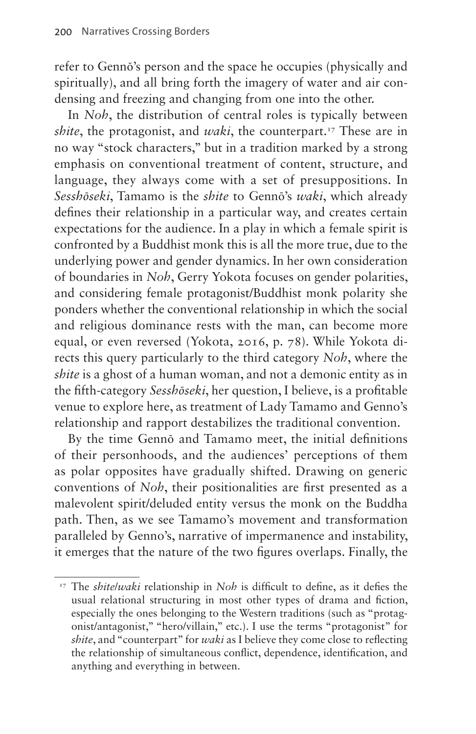refer to Gennō's person and the space he occupies (physically and spiritually), and all bring forth the imagery of water and air condensing and freezing and changing from one into the other.

In *Noh*, the distribution of central roles is typically between *shite*, the protagonist, and *waki*, the counterpart.<sup>17</sup> These are in no way "stock characters," but in a tradition marked by a strong emphasis on conventional treatment of content, structure, and language, they always come with a set of presuppositions. In *Sesshōseki*, Tamamo is the *shite* to Gennō's *waki*, which already defines their relationship in a particular way, and creates certain expectations for the audience. In a play in which a female spirit is confronted by a Buddhist monk this is all the more true, due to the underlying power and gender dynamics. In her own consideration of boundaries in *Noh*, Gerry Yokota focuses on gender polarities, and considering female protagonist/Buddhist monk polarity she ponders whether the conventional relationship in which the social and religious dominance rests with the man, can become more equal, or even reversed (Yokota, 2016, p. 78). While Yokota directs this query particularly to the third category *Noh*, where the *shite* is a ghost of a human woman, and not a demonic entity as in the fifth-category *Sesshōseki*, her question, I believe, is a profitable venue to explore here, as treatment of Lady Tamamo and Genno's relationship and rapport destabilizes the traditional convention.

By the time Gennō and Tamamo meet, the initial definitions of their personhoods, and the audiences' perceptions of them as polar opposites have gradually shifted. Drawing on generic conventions of *Noh*, their positionalities are first presented as a malevolent spirit/deluded entity versus the monk on the Buddha path. Then, as we see Tamamo's movement and transformation paralleled by Genno's, narrative of impermanence and instability, it emerges that the nature of the two figures overlaps. Finally, the

<span id="page-11-0"></span><sup>&</sup>lt;sup>17</sup> The *shitelwaki* relationship in *Noh* is difficult to define, as it defies the usual relational structuring in most other types of drama and fiction, especially the ones belonging to the Western traditions (such as "protagonist/antagonist," "hero/villain," etc.). I use the terms "protagonist" for *shite*, and "counterpart" for *waki* as I believe they come close to reflecting the relationship of simultaneous conflict, dependence, identification, and anything and everything in between.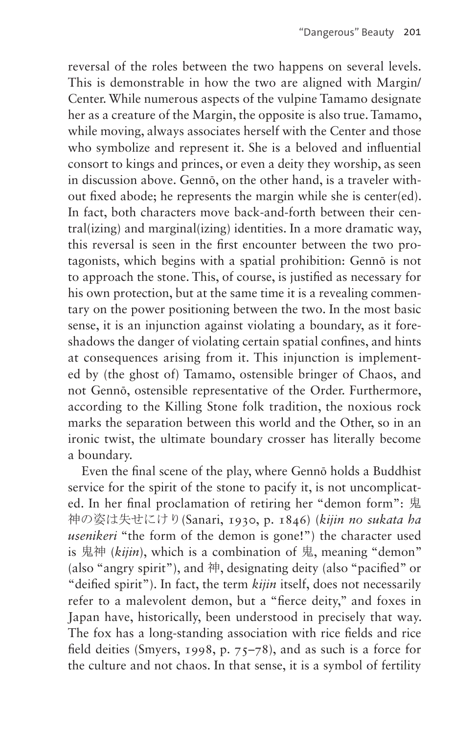reversal of the roles between the two happens on several levels. This is demonstrable in how the two are aligned with Margin/ Center. While numerous aspects of the vulpine Tamamo designate her as a creature of the Margin, the opposite is also true. Tamamo, while moving, always associates herself with the Center and those who symbolize and represent it. She is a beloved and influential consort to kings and princes, or even a deity they worship, as seen in discussion above. Gennō, on the other hand, is a traveler without fixed abode; he represents the margin while she is center(ed). In fact, both characters move back-and-forth between their central(izing) and marginal(izing) identities. In a more dramatic way, this reversal is seen in the first encounter between the two protagonists, which begins with a spatial prohibition: Gennō is not to approach the stone. This, of course, is justified as necessary for his own protection, but at the same time it is a revealing commentary on the power positioning between the two. In the most basic sense, it is an injunction against violating a boundary, as it foreshadows the danger of violating certain spatial confines, and hints at consequences arising from it. This injunction is implemented by (the ghost of) Tamamo, ostensible bringer of Chaos, and not Gennō, ostensible representative of the Order. Furthermore, according to the Killing Stone folk tradition, the noxious rock marks the separation between this world and the Other, so in an ironic twist, the ultimate boundary crosser has literally become a boundary.

Even the final scene of the play, where Gennō holds a Buddhist service for the spirit of the stone to pacify it, is not uncomplicated. In her final proclamation of retiring her "demon form": 鬼 神の姿は失せにけり(Sanari, 1930, p. 1846) (*kijin no sukata ha usenikeri* "the form of the demon is gone!") the character used is 鬼神 (*kijin*), which is a combination of 鬼, meaning "demon" (also "angry spirit"), and 神, designating deity (also "pacified" or "deified spirit"). In fact, the term *kijin* itself, does not necessarily refer to a malevolent demon, but a "fierce deity," and foxes in Japan have, historically, been understood in precisely that way. The fox has a long-standing association with rice fields and rice field deities (Smyers, 1998, p. 75–78), and as such is a force for the culture and not chaos. In that sense, it is a symbol of fertility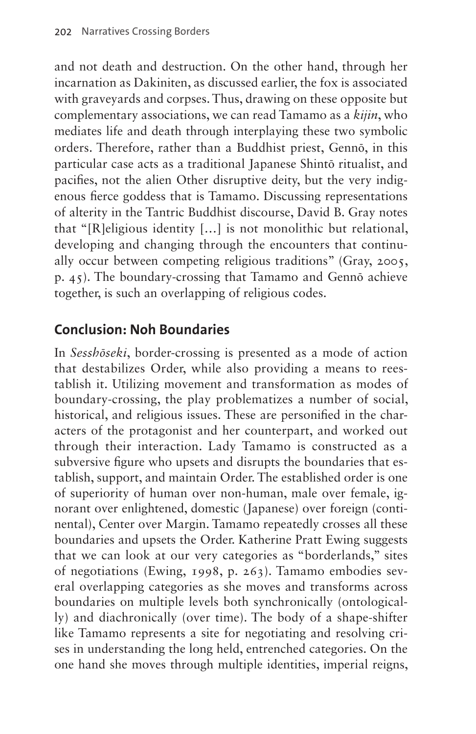and not death and destruction. On the other hand, through her incarnation as Dakiniten, as discussed earlier, the fox is associated with graveyards and corpses. Thus, drawing on these opposite but complementary associations, we can read Tamamo as a *kijin*, who mediates life and death through interplaying these two symbolic orders. Therefore, rather than a Buddhist priest, Gennō, in this particular case acts as a traditional Japanese Shintō ritualist, and pacifies, not the alien Other disruptive deity, but the very indigenous fierce goddess that is Tamamo. Discussing representations of alterity in the Tantric Buddhist discourse, David B. Gray notes that "[R]eligious identity […] is not monolithic but relational, developing and changing through the encounters that continually occur between competing religious traditions" (Gray, 2005, p. 45). The boundary-crossing that Tamamo and Gennō achieve together, is such an overlapping of religious codes.

### **Conclusion: Noh Boundaries**

In *Sesshōseki*, border-crossing is presented as a mode of action that destabilizes Order, while also providing a means to reestablish it. Utilizing movement and transformation as modes of boundary-crossing, the play problematizes a number of social, historical, and religious issues. These are personified in the characters of the protagonist and her counterpart, and worked out through their interaction. Lady Tamamo is constructed as a subversive figure who upsets and disrupts the boundaries that establish, support, and maintain Order. The established order is one of superiority of human over non-human, male over female, ignorant over enlightened, domestic (Japanese) over foreign (continental), Center over Margin. Tamamo repeatedly crosses all these boundaries and upsets the Order. Katherine Pratt Ewing suggests that we can look at our very categories as "borderlands," sites of negotiations (Ewing, 1998, p. 263). Tamamo embodies several overlapping categories as she moves and transforms across boundaries on multiple levels both synchronically (ontologically) and diachronically (over time). The body of a shape-shifter like Tamamo represents a site for negotiating and resolving crises in understanding the long held, entrenched categories. On the one hand she moves through multiple identities, imperial reigns,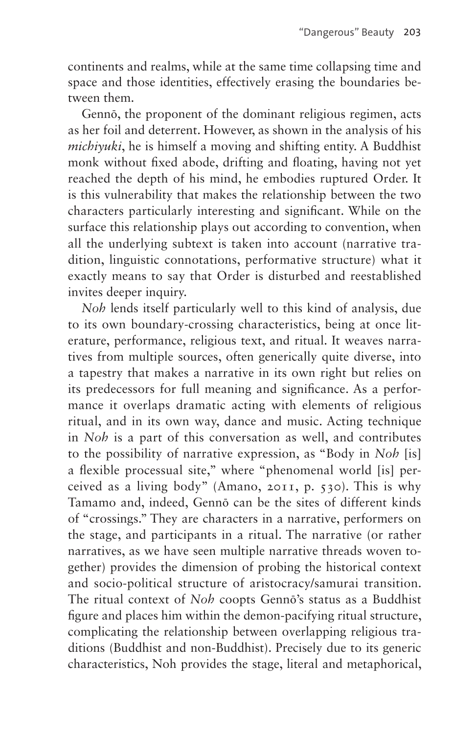continents and realms, while at the same time collapsing time and space and those identities, effectively erasing the boundaries between them.

Gennō, the proponent of the dominant religious regimen, acts as her foil and deterrent. However, as shown in the analysis of his *michiyuki*, he is himself a moving and shifting entity. A Buddhist monk without fixed abode, drifting and floating, having not yet reached the depth of his mind, he embodies ruptured Order. It is this vulnerability that makes the relationship between the two characters particularly interesting and significant. While on the surface this relationship plays out according to convention, when all the underlying subtext is taken into account (narrative tradition, linguistic connotations, performative structure) what it exactly means to say that Order is disturbed and reestablished invites deeper inquiry.

*Noh* lends itself particularly well to this kind of analysis, due to its own boundary-crossing characteristics, being at once literature, performance, religious text, and ritual. It weaves narratives from multiple sources, often generically quite diverse, into a tapestry that makes a narrative in its own right but relies on its predecessors for full meaning and significance. As a performance it overlaps dramatic acting with elements of religious ritual, and in its own way, dance and music. Acting technique in *Noh* is a part of this conversation as well, and contributes to the possibility of narrative expression, as "Body in *Noh* [is] a flexible processual site," where "phenomenal world [is] perceived as a living body" (Amano, 2011, p. 530). This is why Tamamo and, indeed, Gennō can be the sites of different kinds of "crossings." They are characters in a narrative, performers on the stage, and participants in a ritual. The narrative (or rather narratives, as we have seen multiple narrative threads woven together) provides the dimension of probing the historical context and socio-political structure of aristocracy/samurai transition. The ritual context of *Noh* coopts Gennō's status as a Buddhist figure and places him within the demon-pacifying ritual structure, complicating the relationship between overlapping religious traditions (Buddhist and non-Buddhist). Precisely due to its generic characteristics, Noh provides the stage, literal and metaphorical,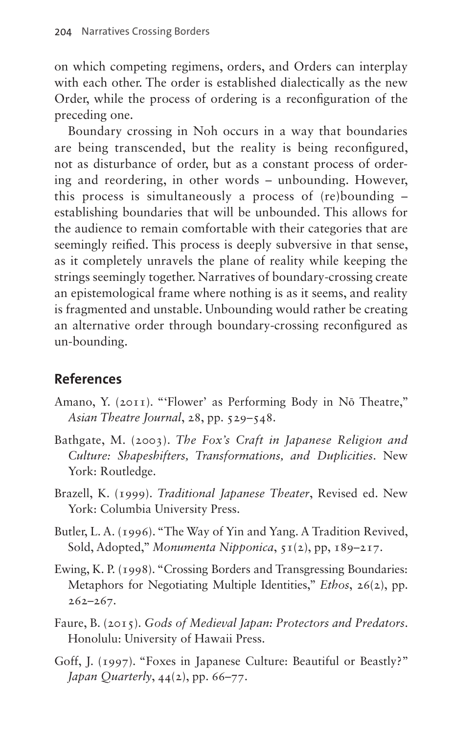on which competing regimens, orders, and Orders can interplay with each other. The order is established dialectically as the new Order, while the process of ordering is a reconfiguration of the preceding one.

Boundary crossing in Noh occurs in a way that boundaries are being transcended, but the reality is being reconfigured, not as disturbance of order, but as a constant process of ordering and reordering, in other words – unbounding. However, this process is simultaneously a process of (re)bounding – establishing boundaries that will be unbounded. This allows for the audience to remain comfortable with their categories that are seemingly reified. This process is deeply subversive in that sense, as it completely unravels the plane of reality while keeping the strings seemingly together. Narratives of boundary-crossing create an epistemological frame where nothing is as it seems, and reality is fragmented and unstable. Unbounding would rather be creating an alternative order through boundary-crossing reconfigured as un-bounding.

#### **References**

- Amano, Y. (2011). "'Flower' as Performing Body in Nō Theatre," *Asian Theatre Journal*, 28, pp. 529–548.
- Bathgate, M. (2003). *The Fox's Craft in Japanese Religion and Culture: Shapeshifters, Transformations, and Duplicities*. New York: Routledge.
- Brazell, K. (1999). *Traditional Japanese Theater*, Revised ed. New York: Columbia University Press.
- Butler, L. A. (1996). "The Way of Yin and Yang. A Tradition Revived, Sold, Adopted," *Monumenta Nipponica*, 51(2), pp, 189–217.
- Ewing, K. P. (1998). "Crossing Borders and Transgressing Boundaries: Metaphors for Negotiating Multiple Identities," *Ethos*, 26(2), pp. 262–267.
- Faure, B. (2015). *Gods of Medieval Japan: Protectors and Predators*. Honolulu: University of Hawaii Press.
- Goff, J. (1997). "Foxes in Japanese Culture: Beautiful or Beastly?" *Japan Quarterly*, 44(2), pp. 66–77.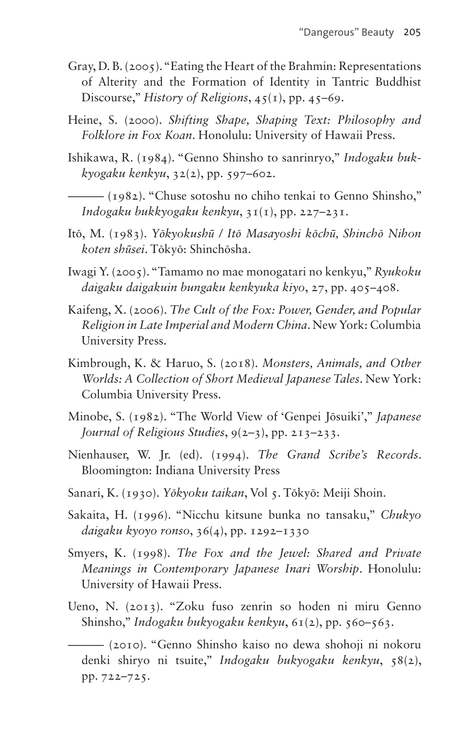- Gray, D. B. (2005). "Eating the Heart of the Brahmin: Representations of Alterity and the Formation of Identity in Tantric Buddhist Discourse," *History of Religions*, 45(1), pp. 45–69.
- Heine, S. (2000). *Shifting Shape, Shaping Text: Philosophy and Folklore in Fox Koan*. Honolulu: University of Hawaii Press.
- Ishikawa, R. (1984). "Genno Shinsho to sanrinryo," *Indogaku bukkyogaku kenkyu*, 32(2), pp. 597–602.

——— (1982). "Chuse sotoshu no chiho tenkai to Genno Shinsho," *Indogaku bukkyogaku kenkyu*, 31(1), pp. 227–231.

- Itō, M. (1983). *Yōkyokushū / Itō Masayoshi kōchū, Shinchō Nihon koten shūsei*. Tōkyō: Shinchōsha.
- Iwagi Y. (2005). "Tamamo no mae monogatari no kenkyu," *Ryukoku daigaku daigakuin bungaku kenkyuka kiyo*, 27, pp. 405–408.
- Kaifeng, X. (2006). *The Cult of the Fox: Power, Gender, and Popular Religion in Late Imperial and Modern China*. New York: Columbia University Press.
- Kimbrough, K. & Haruo, S. (2018). *Monsters, Animals, and Other Worlds: A Collection of Short Medieval Japanese Tales*. New York: Columbia University Press.
- Minobe, S. (1982). "The World View of 'Genpei Jōsuiki'," *Japanese Journal of Religious Studies*, 9(2–3), pp. 213–233.
- Nienhauser, W. Jr. (ed). (1994). *The Grand Scribe's Records*. Bloomington: Indiana University Press
- Sanari, K. (1930). *Yōkyoku taikan*, Vol 5. Tōkyō: Meiji Shoin.
- Sakaita, H. (1996). "Nicchu kitsune bunka no tansaku," *Chukyo daigaku kyoyo ronso*, 36(4), pp. 1292–1330
- Smyers, K. (1998). *The Fox and the Jewel: Shared and Private Meanings in Contemporary Japanese Inari Worship*. Honolulu: University of Hawaii Press.
- Ueno, N. (2013). "Zoku fuso zenrin so hoden ni miru Genno Shinsho," *Indogaku bukyogaku kenkyu*, 61(2), pp. 560–563.

<sup>——— (2010). &</sup>quot;Genno Shinsho kaiso no dewa shohoji ni nokoru denki shiryo ni tsuite," *Indogaku bukyogaku kenkyu*, 58(2), pp. 722–725.